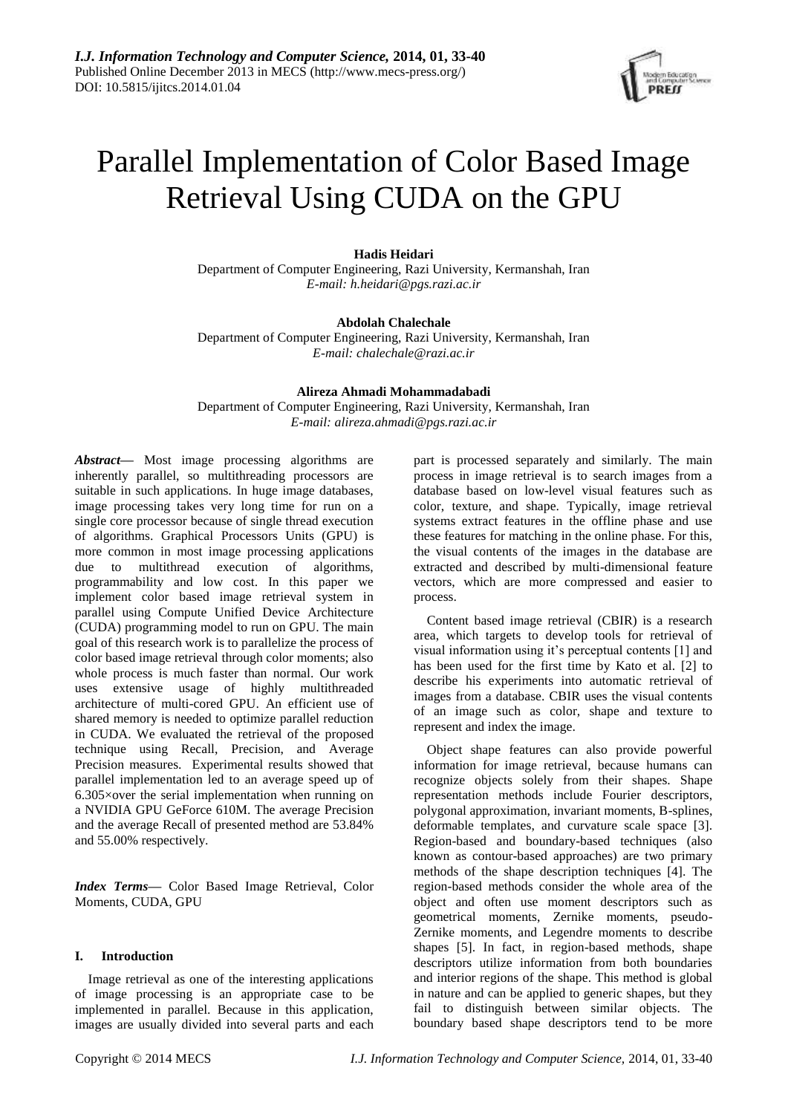

# Parallel Implementation of Color Based Image Retrieval Using CUDA on the GPU

**Hadis Heidari**

Department of Computer Engineering, Razi University, Kermanshah, Iran *E-mail: h.heidari@pgs.razi.ac.ir*

#### **Abdolah Chalechale**

Department of Computer Engineering, Razi University, Kermanshah, Iran *E-mail: chalechale@razi.ac.ir*

# **Alireza Ahmadi Mohammadabadi**

Department of Computer Engineering, Razi University, Kermanshah, Iran *E-mail: alireza.ahmadi@pgs.razi.ac.ir*

*Abstract***—** Most image processing algorithms are inherently parallel, so multithreading processors are suitable in such applications. In huge image databases, image processing takes very long time for run on a single core processor because of single thread execution of algorithms. Graphical Processors Units (GPU) is more common in most image processing applications due to multithread execution of algorithms, programmability and low cost. In this paper we implement color based image retrieval system in parallel using Compute Unified Device Architecture (CUDA) programming model to run on GPU. The main goal of this research work is to parallelize the process of color based image retrieval through color moments; also whole process is much faster than normal. Our work uses extensive usage of highly multithreaded architecture of multi-cored GPU. An efficient use of shared memory is needed to optimize parallel reduction in CUDA. We evaluated the retrieval of the proposed technique using Recall, Precision, and Average Precision measures. Experimental results showed that parallel implementation led to an average speed up of 6.305×over the serial implementation when running on a NVIDIA GPU GeForce 610M. The average Precision and the average Recall of presented method are 53.84% and 55.00% respectively.

*Index Terms***—** Color Based Image Retrieval, Color Moments, CUDA, GPU

# **I. Introduction**

Image retrieval as one of the interesting applications of image processing is an appropriate case to be implemented in parallel. Because in this application, images are usually divided into several parts and each

part is processed separately and similarly. The main process in image retrieval is to search images from a database based on low-level visual features such as color, texture, and shape. Typically, image retrieval systems extract features in the offline phase and use these features for matching in the online phase. For this, the visual contents of the images in the database are extracted and described by multi-dimensional feature vectors, which are more compressed and easier to process.

Content based image retrieval (CBIR) is a research area, which targets to develop tools for retrieval of visual information using it's perceptual contents [1] and has been used for the first time by Kato et al. [2] to describe his experiments into automatic retrieval of images from a database. CBIR uses the visual contents of an image such as color, shape and texture to represent and index the image.

Object shape features can also provide powerful information for image retrieval, because humans can recognize objects solely from their shapes. Shape representation methods include Fourier descriptors, polygonal approximation, invariant moments, B-splines, deformable templates, and curvature scale space [3]. Region-based and boundary-based techniques (also known as contour-based approaches) are two primary methods of the shape description techniques [4]. The region-based methods consider the whole area of the object and often use moment descriptors such as geometrical moments, Zernike moments, pseudo-Zernike moments, and Legendre moments to describe shapes [5]. In fact, in region-based methods, shape descriptors utilize information from both boundaries and interior regions of the shape. This method is global in nature and can be applied to generic shapes, but they fail to distinguish between similar objects. The boundary based shape descriptors tend to be more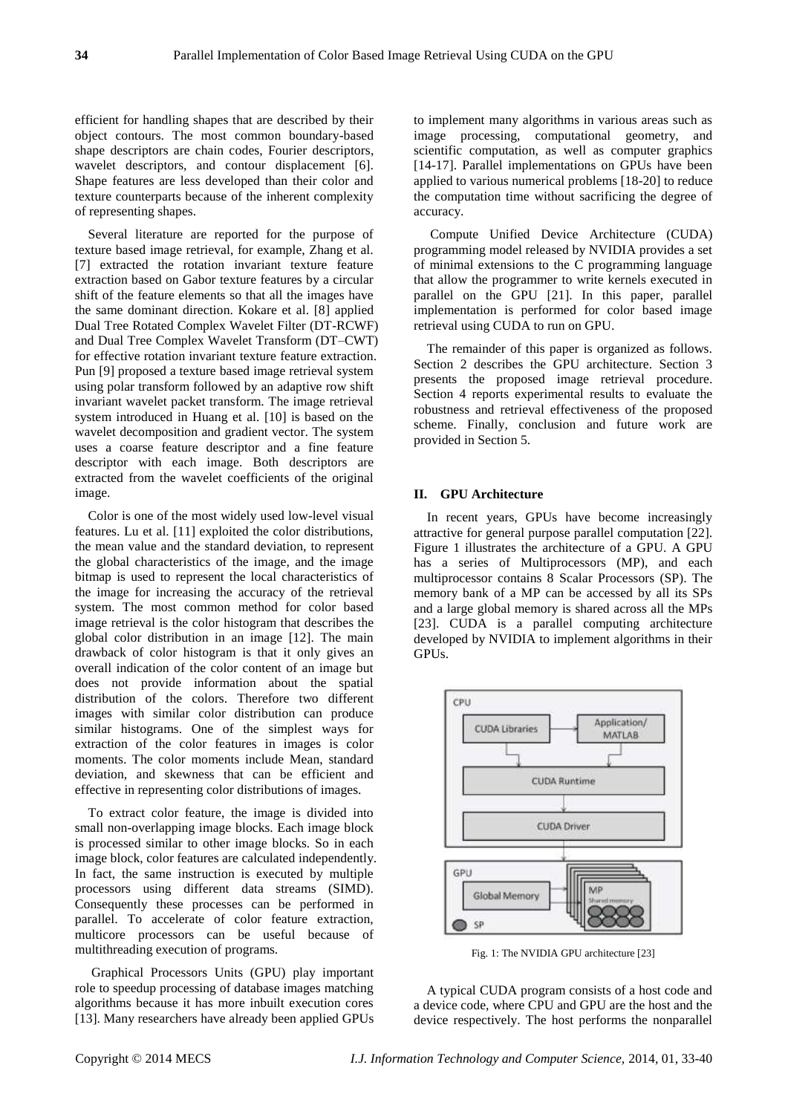efficient for handling shapes that are described by their object contours. The most common boundary-based shape descriptors are chain codes, Fourier descriptors, wavelet descriptors, and contour displacement [6]. Shape features are less developed than their color and texture counterparts because of the inherent complexity of representing shapes.

Several literature are reported for the purpose of texture based image retrieval, for example, Zhang et al. [7] extracted the rotation invariant texture feature extraction based on Gabor texture features by a circular shift of the feature elements so that all the images have the same dominant direction. Kokare et al. [8] applied Dual Tree Rotated Complex Wavelet Filter (DT-RCWF) and Dual Tree Complex Wavelet Transform (DT–CWT) for effective rotation invariant texture feature extraction. Pun [9] proposed a texture based image retrieval system using polar transform followed by an adaptive row shift invariant wavelet packet transform. The image retrieval system introduced in Huang et al. [10] is based on the wavelet decomposition and gradient vector. The system uses a coarse feature descriptor and a fine feature descriptor with each image. Both descriptors are extracted from the wavelet coefficients of the original image.

Color is one of the most widely used low-level visual features. Lu et al. [11] exploited the color distributions, the mean value and the standard deviation, to represent the global characteristics of the image, and the image bitmap is used to represent the local characteristics of the image for increasing the accuracy of the retrieval system. The most common method for color based image retrieval is the color histogram that describes the global color distribution in an image [12]. The main drawback of color histogram is that it only gives an overall indication of the color content of an image but does not provide information about the spatial distribution of the colors. Therefore two different images with similar color distribution can produce similar histograms. One of the simplest ways for extraction of the color features in images is color moments. The color moments include Mean, standard deviation, and skewness that can be efficient and effective in representing color distributions of images.

To extract color feature, the image is divided into small non-overlapping image blocks. Each image block is processed similar to other image blocks. So in each image block, color features are calculated independently. In fact, the same instruction is executed by multiple processors using different data streams (SIMD). Consequently these processes can be performed in parallel. To accelerate of color feature extraction, multicore processors can be useful because of multithreading execution of programs.

Graphical Processors Units (GPU) play important role to speedup processing of database images matching algorithms because it has more inbuilt execution cores [13]. Many researchers have already been applied GPUs

to implement many algorithms in various areas such as image processing, computational geometry, and scientific computation, as well as computer graphics [14-17]. Parallel implementations on GPUs have been applied to various numerical problems [18-20] to reduce the computation time without sacrificing the degree of accuracy.

Compute Unified Device Architecture (CUDA) programming model released by NVIDIA provides a set of minimal extensions to the C programming language that allow the programmer to write kernels executed in parallel on the GPU [21]. In this paper, parallel implementation is performed for color based image retrieval using CUDA to run on GPU.

The remainder of this paper is organized as follows. Section 2 describes the GPU architecture. Section 3 presents the proposed image retrieval procedure. Section 4 reports experimental results to evaluate the robustness and retrieval effectiveness of the proposed scheme. Finally, conclusion and future work are provided in Section 5.

#### **II. GPU Architecture**

In recent years, GPUs have become increasingly attractive for general purpose parallel computation [22]. Figure 1 illustrates the architecture of a GPU. A GPU has a series of Multiprocessors (MP), and each multiprocessor contains 8 Scalar Processors (SP). The memory bank of a MP can be accessed by all its SPs and a large global memory is shared across all the MPs [23]. CUDA is a parallel computing architecture developed by NVIDIA to implement algorithms in their GPUs.



Fig. 1: The NVIDIA GPU architecture [23]

A typical CUDA program consists of a host code and a device code, where CPU and GPU are the host and the device respectively. The host performs the nonparallel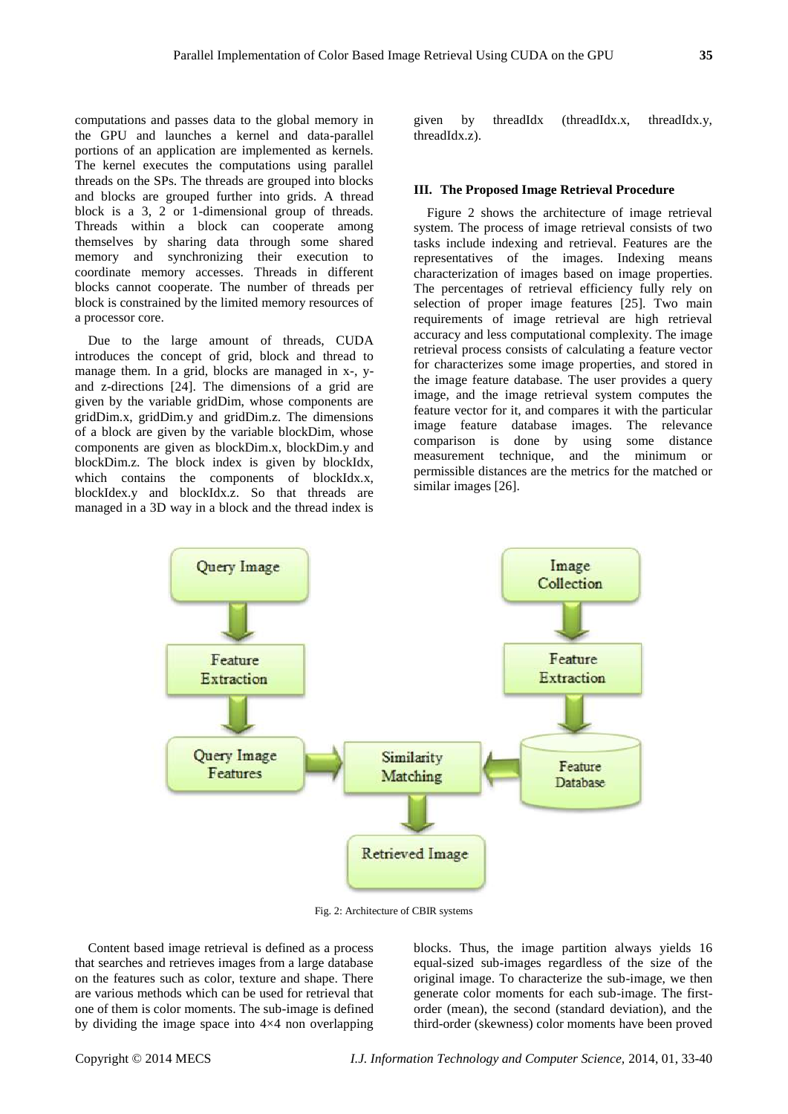computations and passes data to the global memory in the GPU and launches a kernel and data-parallel portions of an application are implemented as kernels. The kernel executes the computations using parallel threads on the SPs. The threads are grouped into blocks and blocks are grouped further into grids. A thread block is a 3, 2 or 1-dimensional group of threads. Threads within a block can cooperate among themselves by sharing data through some shared memory and synchronizing their execution to coordinate memory accesses. Threads in different blocks cannot cooperate. The number of threads per block is constrained by the limited memory resources of a processor core.

Due to the large amount of threads, CUDA introduces the concept of grid, block and thread to manage them. In a grid, blocks are managed in x-, yand z-directions [24]. The dimensions of a grid are given by the variable gridDim, whose components are gridDim.x, gridDim.y and gridDim.z. The dimensions of a block are given by the variable blockDim, whose components are given as blockDim.x, blockDim.y and blockDim.z. The block index is given by blockIdx, which contains the components of blockIdx.x, blockIdex.y and blockIdx.z. So that threads are managed in a 3D way in a block and the thread index is

given by threadIdx (threadIdx.x, threadIdx.y, threadIdx.z).

#### **III. The Proposed Image Retrieval Procedure**

Figure 2 shows the architecture of image retrieval system. The process of image retrieval consists of two tasks include indexing and retrieval. Features are the representatives of the images. Indexing means characterization of images based on image properties. The percentages of retrieval efficiency fully rely on selection of proper image features [25]. Two main requirements of image retrieval are high retrieval accuracy and less computational complexity. The image retrieval process consists of calculating a feature vector for characterizes some image properties, and stored in the image feature database. The user provides a query image, and the image retrieval system computes the feature vector for it, and compares it with the particular image feature database images. The relevance comparison is done by using some distance measurement technique, and the minimum or permissible distances are the metrics for the matched or similar images [26].



Fig. 2: Architecture of CBIR systems

Content based image retrieval is defined as a process that searches and retrieves images from a large database on the features such as color, texture and shape. There are various methods which can be used for retrieval that one of them is color moments. The sub-image is defined by dividing the image space into  $4 \times 4$  non overlapping

blocks. Thus, the image partition always yields 16 equal-sized sub-images regardless of the size of the original image. To characterize the sub-image, we then generate color moments for each sub-image. The firstorder (mean), the second (standard deviation), and the third-order (skewness) color moments have been proved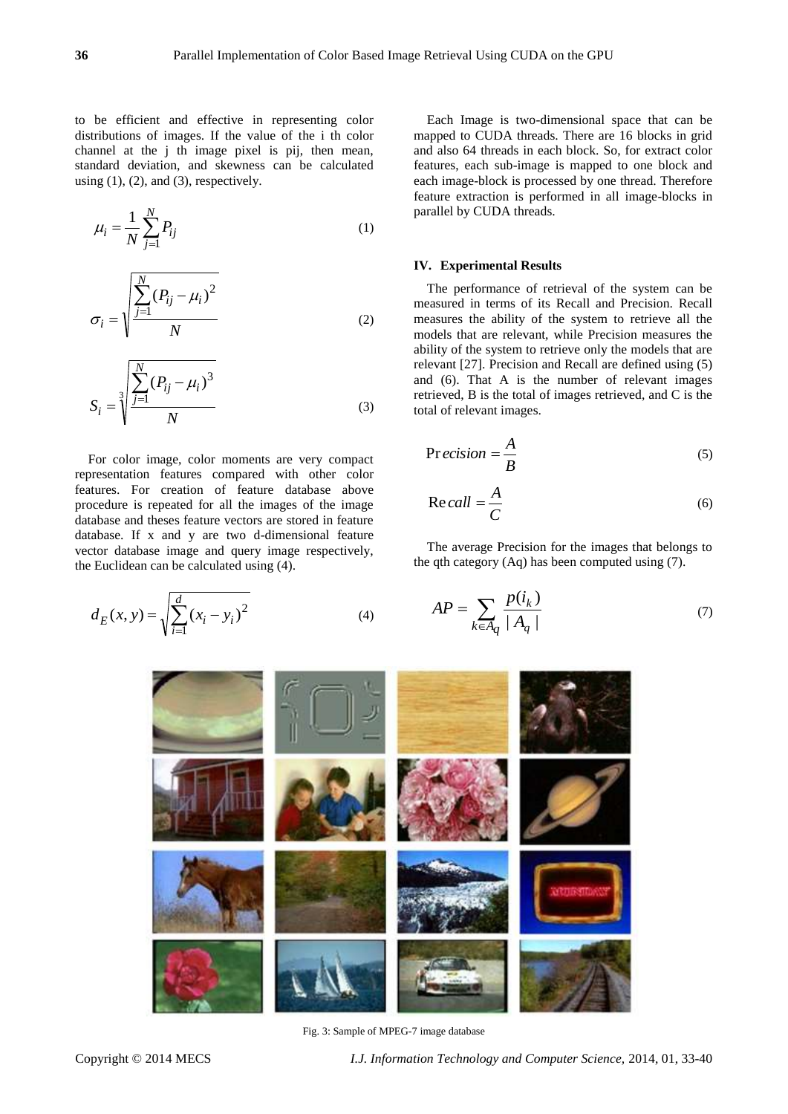to be efficient and effective in representing color distributions of images. If the value of the i th color channel at the j th image pixel is pij, then mean, standard deviation, and skewness can be calculated using  $(1)$ ,  $(2)$ , and  $(3)$ , respectively.

$$
\mu_i = \frac{1}{N} \sum_{j=1}^{N} P_{ij}
$$
 (1)

$$
\sigma_{i} = \sqrt{\frac{\sum_{j=1}^{N} (P_{ij} - \mu_{i})^{2}}{N}}
$$
\n(2)

$$
S_{i} = \sqrt[3]{\frac{\sum_{j=1}^{N} (P_{ij} - \mu_{i})^{3}}{N}}
$$
(3)

For color image, color moments are very compact representation features compared with other color features. For creation of feature database above procedure is repeated for all the images of the image database and theses feature vectors are stored in feature database. If x and y are two d-dimensional feature vector database image and query image respectively, the Euclidean can be calculated using (4).

$$
d_E(x, y) = \sqrt{\sum_{i=1}^{d} (x_i - y_i)^2}
$$
 (4)

Each Image is two-dimensional space that can be mapped to CUDA threads. There are 16 blocks in grid and also 64 threads in each block. So, for extract color features, each sub-image is mapped to one block and each image-block is processed by one thread. Therefore feature extraction is performed in all image-blocks in parallel by CUDA threads.

## **IV. Experimental Results**

The performance of retrieval of the system can be measured in terms of its Recall and Precision. Recall measures the ability of the system to retrieve all the models that are relevant, while Precision measures the ability of the system to retrieve only the models that are relevant [27]. Precision and Recall are defined using (5) and (6). That A is the number of relevant images retrieved, B is the total of images retrieved, and C is the total of relevant images.

$$
Precision = \frac{A}{B}
$$
 (5)

$$
Re\,call = \frac{A}{C} \tag{6}
$$

The average Precision for the images that belongs to the qth category (Aq) has been computed using (7).

$$
AP = \sum_{k \in A_q} \frac{p(i_k)}{|A_q|} \tag{7}
$$



Fig. 3: Sample of MPEG-7 image database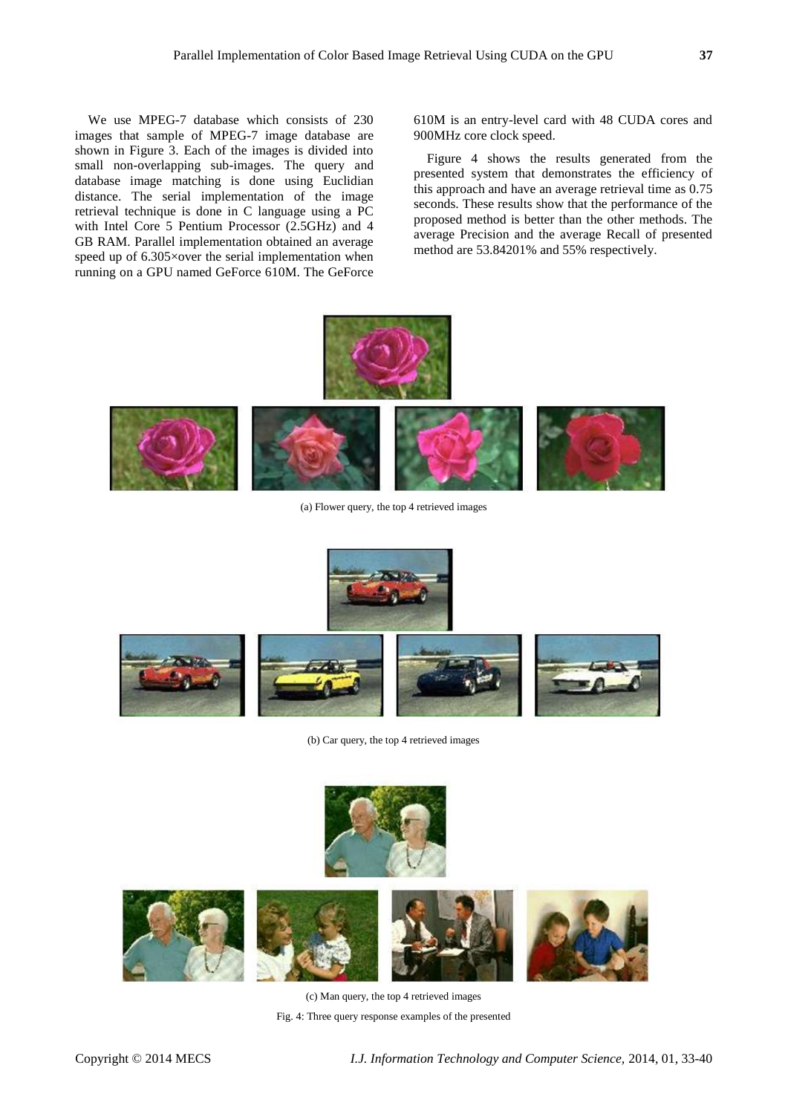We use MPEG-7 database which consists of 230 images that sample of MPEG-7 image database are shown in Figure 3. Each of the images is divided into small non-overlapping sub-images. The query and database image matching is done using Euclidian distance. The serial implementation of the image retrieval technique is done in C language using a PC with Intel Core 5 Pentium Processor (2.5GHz) and 4 GB RAM. Parallel implementation obtained an average speed up of 6.305 × over the serial implementation when running on a GPU named GeForce 610M. The GeForce

610M is an entry-level card with 48 CUDA cores and 900MHz core clock speed.

Figure 4 shows the results generated from the presented system that demonstrates the efficiency of this approach and have an average retrieval time as 0.75 seconds. These results show that the performance of the proposed method is better than the other methods. The average Precision and the average Recall of presented method are 53.84201% and 55% respectively.





(a) Flower query, the top 4 retrieved images





(b) Car query, the top 4 retrieved images





(c) Man query, the top 4 retrieved images

Fig. 4: Three query response examples of the presented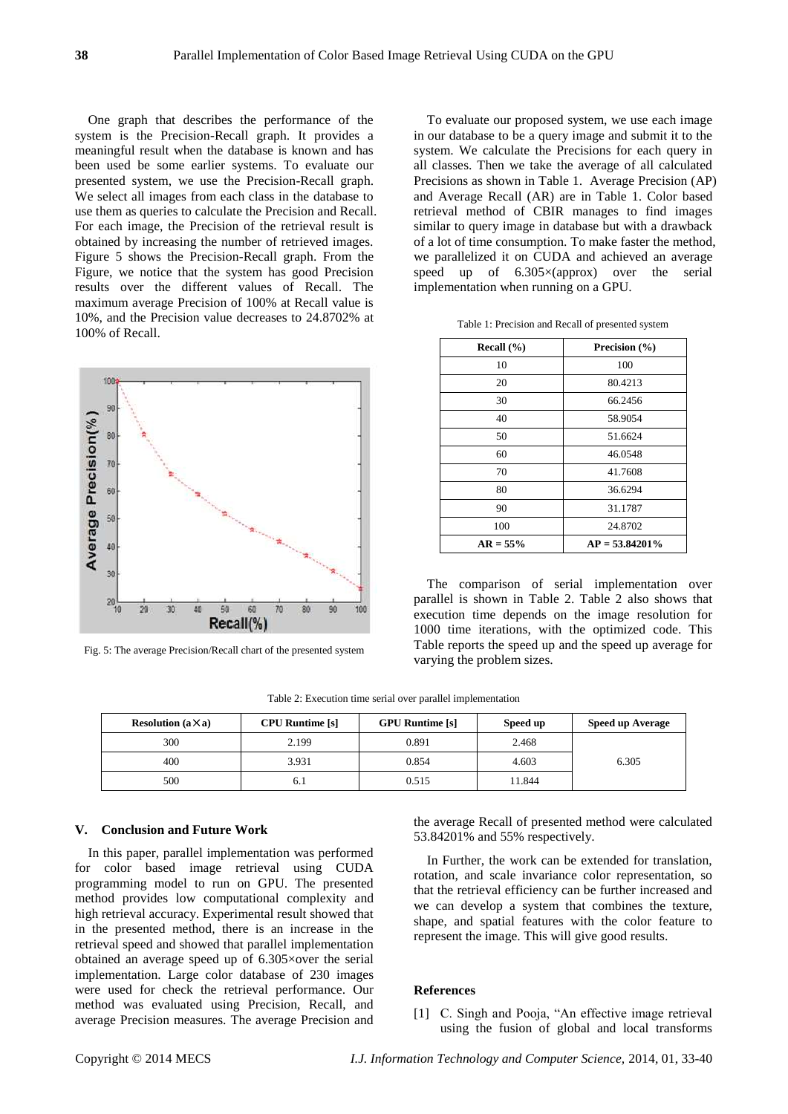One graph that describes the performance of the system is the Precision-Recall graph. It provides a meaningful result when the database is known and has been used be some earlier systems. To evaluate our presented system, we use the Precision-Recall graph. We select all images from each class in the database to use them as queries to calculate the Precision and Recall. For each image, the Precision of the retrieval result is obtained by increasing the number of retrieved images. Figure 5 shows the Precision-Recall graph. From the Figure, we notice that the system has good Precision results over the different values of Recall. The maximum average Precision of 100% at Recall value is 10%, and the Precision value decreases to 24.8702% at 100% of Recall.



Fig. 5: The average Precision/Recall chart of the presented system

To evaluate our proposed system, we use each image in our database to be a query image and submit it to the system. We calculate the Precisions for each query in all classes. Then we take the average of all calculated Precisions as shown in Table 1. Average Precision (AP) and Average Recall (AR) are in Table 1. Color based retrieval method of CBIR manages to find images similar to query image in database but with a drawback of a lot of time consumption. To make faster the method, we parallelized it on CUDA and achieved an average speed up of 6.305×(approx) over the serial implementation when running on a GPU.

Table 1: Precision and Recall of presented system

| Recall $(\% )$ | Precision $(\% )$ |  |  |
|----------------|-------------------|--|--|
| 10             | 100               |  |  |
| 20             | 80.4213           |  |  |
| 30             | 66.2456           |  |  |
| 40             | 58.9054           |  |  |
| 50             | 51.6624           |  |  |
| 60             | 46.0548           |  |  |
| 70             | 41.7608           |  |  |
| 80             | 36.6294           |  |  |
| 90             | 31.1787           |  |  |
| 100            | 24.8702           |  |  |
| $AR = 55\%$    | $AP = 53.84201\%$ |  |  |

The comparison of serial implementation over parallel is shown in Table 2. Table 2 also shows that execution time depends on the image resolution for 1000 time iterations, with the optimized code. This Table reports the speed up and the speed up average for varying the problem sizes.

| <b>Resolution</b> $(a \times a)$ | <b>CPU Runtime</b> [s] | <b>GPU Runtime</b> [s] | Speed up | Speed up Average |
|----------------------------------|------------------------|------------------------|----------|------------------|
| 300                              | 2.199                  | 0.891                  | 2.468    |                  |
| 400                              | 3.931                  | 0.854                  | 4.603    | 6.305            |
| 500                              |                        | 0.515                  | 11.844   |                  |

Table 2: Execution time serial over parallel implementation

# **V. Conclusion and Future Work**

In this paper, parallel implementation was performed for color based image retrieval using CUDA programming model to run on GPU. The presented method provides low computational complexity and high retrieval accuracy. Experimental result showed that in the presented method, there is an increase in the retrieval speed and showed that parallel implementation obtained an average speed up of 6.305×over the serial implementation. Large color database of 230 images were used for check the retrieval performance. Our method was evaluated using Precision, Recall, and average Precision measures. The average Precision and the average Recall of presented method were calculated 53.84201% and 55% respectively.

In Further, the work can be extended for translation, rotation, and scale invariance color representation, so that the retrieval efficiency can be further increased and we can develop a system that combines the texture, shape, and spatial features with the color feature to represent the image. This will give good results.

# **References**

[1] C. Singh and Pooja, "An effective image retrieval using the fusion of global and local transforms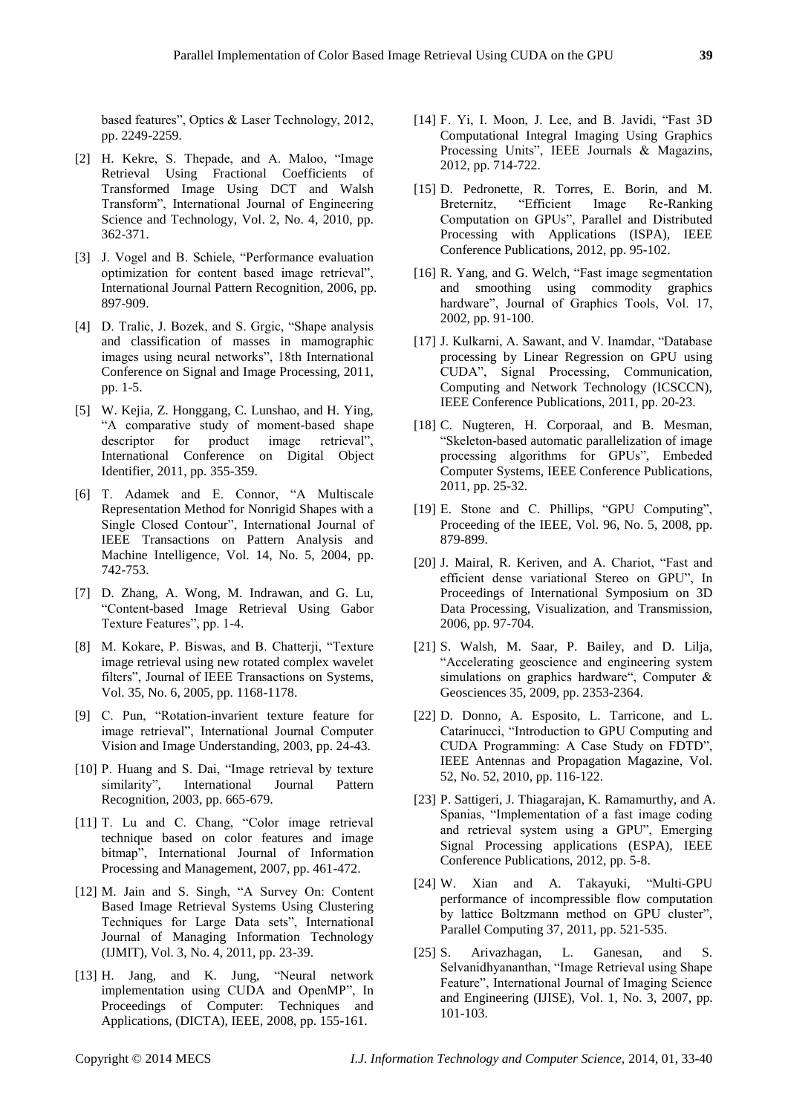based features", Optics & Laser Technology, 2012, pp. 2249-2259.

- [2] H. Kekre, S. Thepade, and A. Maloo, "Image Retrieval Using Fractional Coefficients of Transformed Image Using DCT and Walsh Transform", International Journal of Engineering Science and Technology, Vol. 2, No. 4, 2010, pp. 362-371.
- [3] J. Vogel and B. Schiele, "Performance evaluation optimization for content based image retrieval", International Journal Pattern Recognition, 2006, pp. 897-909.
- [4] D. Tralic, J. Bozek, and S. Grgic, "Shape analysis and classification of masses in mamographic images using neural networks", 18th International Conference on Signal and Image Processing, 2011, pp. 1-5.
- [5] W. Kejia, Z. Honggang, C. Lunshao, and H. Ying, "A comparative study of moment-based shape descriptor for product image retrieval", International Conference on Digital Object Identifier, 2011, pp. 355-359.
- [6] T. Adamek and E. Connor, "A Multiscale Representation Method for Nonrigid Shapes with a Single Closed Contour", International Journal of IEEE Transactions on Pattern Analysis and Machine Intelligence, Vol. 14, No. 5, 2004, pp. 742-753.
- [7] D. Zhang, A. Wong, M. Indrawan, and G. Lu, "Content-based Image Retrieval Using Gabor Texture Features", pp. 1-4.
- [8] M. Kokare, P. Biswas, and B. Chatterji, "Texture image retrieval using new rotated complex wavelet filters", Journal of IEEE Transactions on Systems, Vol. 35, No. 6, 2005, pp. 1168-1178.
- [9] C. Pun, "Rotation-invarient texture feature for image retrieval", International Journal Computer Vision and Image Understanding, 2003, pp. 24-43.
- [10] P. Huang and S. Dai, "Image retrieval by texture similarity", International Journal Pattern Recognition, 2003, pp. 665-679.
- [11] T. Lu and C. Chang, "Color image retrieval technique based on color features and image bitmap", International Journal of Information Processing and Management, 2007, pp. 461-472.
- [12] M. Jain and S. Singh, "A Survey On: Content Based Image Retrieval Systems Using Clustering Techniques for Large Data sets", International Journal of Managing Information Technology (IJMIT), Vol. 3, No. 4, 2011, pp. 23-39.
- [13] H. Jang, and K. Jung, "Neural network implementation using CUDA and OpenMP", In Proceedings of Computer: Techniques and Applications, (DICTA), IEEE, 2008, pp. 155-161.
- [14] F. Yi, I. Moon, J. Lee, and B. Javidi, "Fast 3D Computational Integral Imaging Using Graphics Processing Units", IEEE Journals & Magazins, 2012, pp. 714-722.
- [15] D. Pedronette, R. Torres, E. Borin, and M. Breternitz, "Efficient Image Re-Ranking Computation on GPUs", Parallel and Distributed Processing with Applications (ISPA), IEEE Conference Publications, 2012, pp. 95-102.
- [16] R. Yang, and G. Welch, "Fast image segmentation and smoothing using commodity graphics hardware", Journal of Graphics Tools, Vol. 17, 2002, pp. 91-100.
- [17] J. Kulkarni, A. Sawant, and V. Inamdar, "Database processing by Linear Regression on GPU using CUDA", Signal Processing, Communication, Computing and Network Technology (ICSCCN), IEEE Conference Publications, 2011, pp. 20-23.
- [18] C. Nugteren, H. Corporaal, and B. Mesman, "Skeleton-based automatic parallelization of image processing algorithms for GPUs", Embeded Computer Systems, IEEE Conference Publications, 2011, pp. 25-32.
- [19] E. Stone and C. Phillips, "GPU Computing", Proceeding of the IEEE, Vol. 96, No. 5, 2008, pp. 879-899.
- [20] J. Mairal, R. Keriven, and A. Chariot, "Fast and efficient dense variational Stereo on GPU", In Proceedings of International Symposium on 3D Data Processing, Visualization, and Transmission, 2006, pp. 97-704.
- [21] S. Walsh, M. Saar, P. Bailey, and D. Lilja, "Accelerating geoscience and engineering system simulations on graphics hardware", Computer & Geosciences 35, 2009, pp. 2353-2364.
- [22] D. Donno, A. Esposito, L. Tarricone, and L. Catarinucci, "Introduction to GPU Computing and CUDA Programming: A Case Study on FDTD", IEEE Antennas and Propagation Magazine, Vol. 52, No. 52, 2010, pp. 116-122.
- [23] P. Sattigeri, J. Thiagarajan, K. Ramamurthy, and A. Spanias, "Implementation of a fast image coding and retrieval system using a GPU", Emerging Signal Processing applications (ESPA), IEEE Conference Publications, 2012, pp. 5-8.
- [24] W. Xian and A. Takayuki, "Multi-GPU performance of incompressible flow computation by lattice Boltzmann method on GPU cluster", Parallel Computing 37, 2011, pp. 521-535.
- [25] S. Arivazhagan, L. Ganesan, and S. Selvanidhyananthan, "Image Retrieval using Shape Feature", International Journal of Imaging Science and Engineering (IJISE), Vol. 1, No. 3, 2007, pp. 101-103.